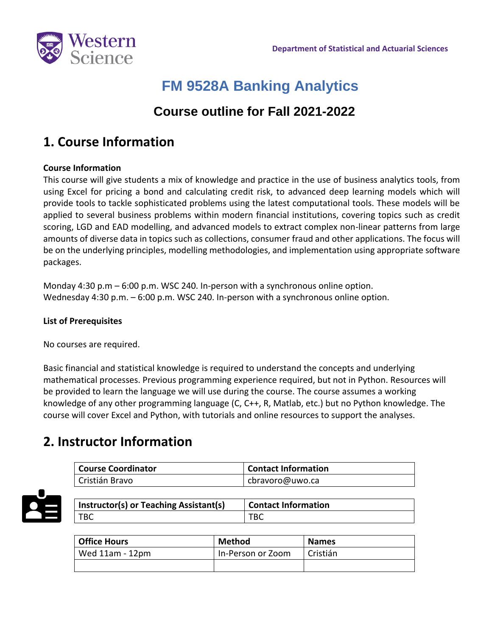

# **FM 9528A Banking Analytics**

### **Course outline for Fall 2021-2022**

## **1. Course Information**

### **Course Information**

This course will give students a mix of knowledge and practice in the use of business analytics tools, from using Excel for pricing a bond and calculating credit risk, to advanced deep learning models which will provide tools to tackle sophisticated problems using the latest computational tools. These models will be applied to several business problems within modern financial institutions, covering topics such as credit scoring, LGD and EAD modelling, and advanced models to extract complex non-linear patterns from large amounts of diverse data in topics such as collections, consumer fraud and other applications. The focus will be on the underlying principles, modelling methodologies, and implementation using appropriate software packages.

Monday 4:30 p.m – 6:00 p.m. WSC 240. In-person with a synchronous online option. Wednesday 4:30 p.m. – 6:00 p.m. WSC 240. In-person with a synchronous online option.

### **List of Prerequisites**

No courses are required.

Basic financial and statistical knowledge is required to understand the concepts and underlying mathematical processes. Previous programming experience required, but not in Python. Resources will be provided to learn the language we will use during the course. The course assumes a working knowledge of any other programming language (C, C++, R, Matlab, etc.) but no Python knowledge. The course will cover Excel and Python, with tutorials and online resources to support the analyses.

## **2. Instructor Information**

| <b>Course Coordinator</b> | <b>Contact Information</b> |
|---------------------------|----------------------------|
| Cristián Bravo            | cbravoro@uwo.ca            |



| Instructor(s) or Teaching Assistant(s) | <b>Contact Information</b> |
|----------------------------------------|----------------------------|
| TBC                                    | TBC                        |

| Office Hours    | <b>Method</b>     | <b>Names</b> |
|-----------------|-------------------|--------------|
| Wed 11am - 12pm | In-Person or Zoom | Cristián     |
|                 |                   |              |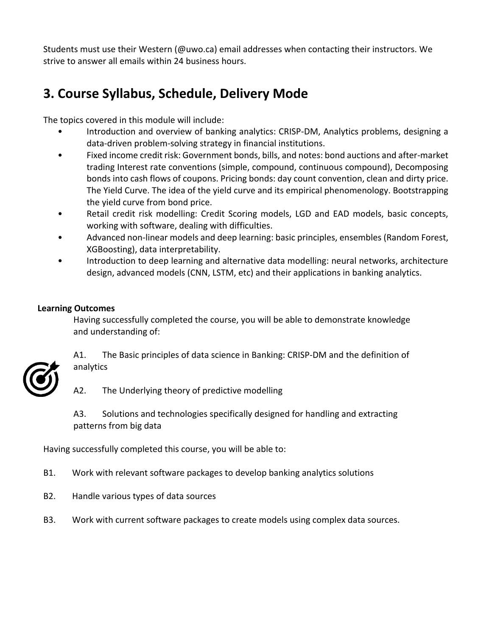Students must use their Western (@uwo.ca) email addresses when contacting their instructors. We strive to answer all emails within 24 business hours.

# **3. Course Syllabus, Schedule, Delivery Mode**

The topics covered in this module will include:

- Introduction and overview of banking analytics: CRISP-DM, Analytics problems, designing a data-driven problem-solving strategy in financial institutions.
- Fixed income credit risk: Government bonds, bills, and notes: bond auctions and after-market trading Interest rate conventions (simple, compound, continuous compound), Decomposing bonds into cash flows of coupons. Pricing bonds: day count convention, clean and dirty price. The Yield Curve. The idea of the yield curve and its empirical phenomenology. Bootstrapping the yield curve from bond price.
- Retail credit risk modelling: Credit Scoring models, LGD and EAD models, basic concepts, working with software, dealing with difficulties.
- Advanced non-linear models and deep learning: basic principles, ensembles (Random Forest, XGBoosting), data interpretability.
- Introduction to deep learning and alternative data modelling: neural networks, architecture design, advanced models (CNN, LSTM, etc) and their applications in banking analytics.

### **Learning Outcomes**

Having successfully completed the course, you will be able to demonstrate knowledge and understanding of:



A1. The Basic principles of data science in Banking: CRISP-DM and the definition of analytics

A2. The Underlying theory of predictive modelling

A3. Solutions and technologies specifically designed for handling and extracting patterns from big data

Having successfully completed this course, you will be able to:

- B1. Work with relevant software packages to develop banking analytics solutions
- B2. Handle various types of data sources
- B3. Work with current software packages to create models using complex data sources.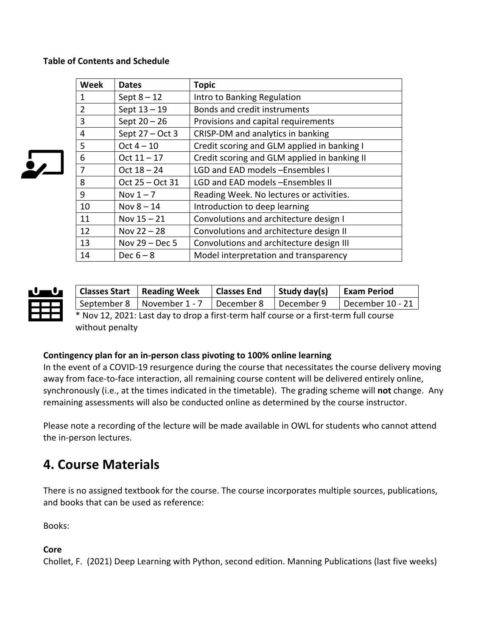### **Table of Contents and Schedule**

| <b>Week</b>    | <b>Dates</b>      | <b>Topic</b>                                 |
|----------------|-------------------|----------------------------------------------|
| 1              | Sept $8 - 12$     | Intro to Banking Regulation                  |
| $\overline{2}$ | Sept $13 - 19$    | Bonds and credit instruments                 |
| 3              | Sept $20 - 26$    | Provisions and capital requirements          |
| 4              | Sept $27 - Oct 3$ | CRISP-DM and analytics in banking            |
| 5              | Oct $4-10$        | Credit scoring and GLM applied in banking I  |
| 6              | $Oct 11 - 17$     | Credit scoring and GLM applied in banking II |
| 7              | Oct $18 - 24$     | LGD and EAD models -Ensembles I              |
| 8              | Oct 25 - Oct 31   | LGD and EAD models -Ensembles II             |
| 9              | Nov $1 - 7$       | Reading Week. No lectures or activities.     |
| 10             | Nov $8 - 14$      | Introduction to deep learning                |
| 11             | Nov $15 - 21$     | Convolutions and architecture design I       |
| 12             | Nov $22 - 28$     | Convolutions and architecture design II      |
| 13             | Nov $29 - Dec 5$  | Convolutions and architecture design III     |
| 14             | Dec $6-8$         | Model interpretation and transparency        |



|                                                                                       | <b>Classes Start Reading Week</b>                      | Classes End | Study day(s) | <b>Exam Period</b> |  |
|---------------------------------------------------------------------------------------|--------------------------------------------------------|-------------|--------------|--------------------|--|
|                                                                                       | September 8   November 1 - 7   December 8   December 9 |             |              | December 10 - 21   |  |
| * Nov 12, 2021: Last day to drop a first-term half course or a first-term full course |                                                        |             |              |                    |  |

without penalty

#### **Contingency plan for an in-person class pivoting to 100% online learning**

In the event of a COVID-19 resurgence during the course that necessitates the course delivery moving away from face-to-face interaction, all remaining course content will be delivered entirely online, synchronously (i.e., at the times indicated in the timetable). The grading scheme will **not** change. Any remaining assessments will also be conducted online as determined by the course instructor.

Please note a recording of the lecture will be made available in OWL for students who cannot attend the in-person lectures.

### **4. Course Materials**

There is no assigned textbook for the course. The course incorporates multiple sources, publications, and books that can be used as reference:

Books:

### **Core**

Chollet, F. (2021) Deep Learning with Python, second edition. Manning Publications (last five weeks)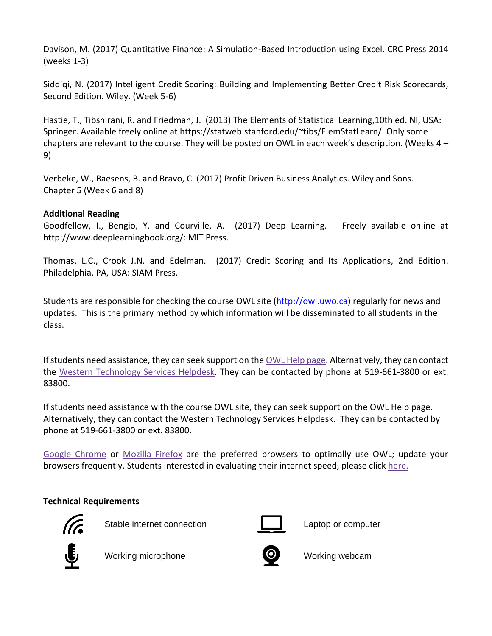Davison, M. (2017) Quantitative Finance: A Simulation-Based Introduction using Excel. CRC Press 2014 (weeks 1-3)

Siddiqi, N. (2017) Intelligent Credit Scoring: Building and Implementing Better Credit Risk Scorecards, Second Edition. Wiley. (Week 5-6)

Hastie, T., Tibshirani, R. and Friedman, J. (2013) The Elements of Statistical Learning,10th ed. NI, USA: Springer. Available freely online at https://statweb.stanford.edu/~tibs/ElemStatLearn/. Only some chapters are relevant to the course. They will be posted on OWL in each week's description. (Weeks 4 – 9)

Verbeke, W., Baesens, B. and Bravo, C. (2017) Profit Driven Business Analytics. Wiley and Sons. Chapter 5 (Week 6 and 8)

### **Additional Reading**

Goodfellow, I., Bengio, Y. and Courville, A. (2017) Deep Learning. Freely available online at http://www.deeplearningbook.org/: MIT Press.

Thomas, L.C., Crook J.N. and Edelman. (2017) Credit Scoring and Its Applications, 2nd Edition. Philadelphia, PA, USA: SIAM Press.

Students are responsible for checking the course OWL site (http://owl.uwo.ca) regularly for news and updates. This is the primary method by which information will be disseminated to all students in the class.

If students need assistance, they can seek support on the [OWL Help page.](https://owlhelp.uwo.ca/students/index.html) Alternatively, they can contact the [Western Technology Services Helpdesk.](https://wts.uwo.ca/helpdesk/) They can be contacted by phone at 519-661-3800 or ext. 83800.

If students need assistance with the course OWL site, they can seek support on the OWL Help page. Alternatively, they can contact the Western Technology Services Helpdesk. They can be contacted by phone at 519-661-3800 or ext. 83800.

[Google Chrome](https://www.google.ca/chrome/?brand=CHBD&gclid=CjwKCAjwxLH3BRApEiwAqX9arfg8JaH6fWGASk9bHTkfW_dyBir93A1-TliP-7u1Kguf-WZsoGAPhBoC9NYQAvD_BwE&gclsrc=aw.ds) or [Mozilla Firefox](https://www.mozilla.org/en-CA/) are the preferred browsers to optimally use OWL; update your browsers frequently. Students interested in evaluating their internet speed, please click [here.](https://www.google.com/search?q=internet+speed+test+google&rlz=1C5CHFA_enCA702CA702&oq=internet+speed+test+google&aqs=chrome..69i57j0l7.3608j0j4&sourceid=chrome&ie=UTF-8)

### **Technical Requirements**



Stable internet connection **Laptop** Captop or computer





Working microphone **Working webcam** 

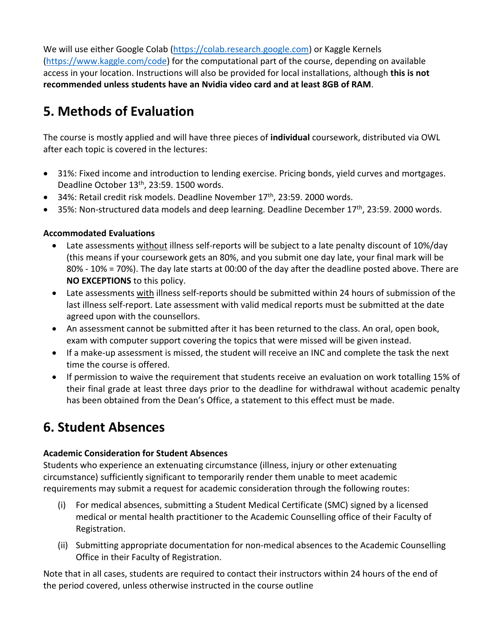We will use either Google Colab [\(https://colab.research.google.com\)](https://colab.research.google.com/) or Kaggle Kernels [\(https://www.kaggle.com/code\)](https://www.kaggle.com/code) for the computational part of the course, depending on available access in your location. Instructions will also be provided for local installations, although **this is not recommended unless students have an Nvidia video card and at least 8GB of RAM**.

# **5. Methods of Evaluation**

The course is mostly applied and will have three pieces of **individual** coursework, distributed via OWL after each topic is covered in the lectures:

- 31%: Fixed income and introduction to lending exercise. Pricing bonds, yield curves and mortgages. Deadline October 13<sup>th</sup>, 23:59. 1500 words.
- 34%: Retail credit risk models. Deadline November  $17<sup>th</sup>$ , 23:59. 2000 words.
- 35%: Non-structured data models and deep learning. Deadline December 17th, 23:59. 2000 words.

### **Accommodated Evaluations**

- Late assessments without illness self-reports will be subject to a late penalty discount of 10%/day (this means if your coursework gets an 80%, and you submit one day late, your final mark will be 80% - 10% = 70%). The day late starts at 00:00 of the day after the deadline posted above. There are **NO EXCEPTIONS** to this policy.
- Late assessments with illness self-reports should be submitted within 24 hours of submission of the last illness self-report. Late assessment with valid medical reports must be submitted at the date agreed upon with the counsellors.
- An assessment cannot be submitted after it has been returned to the class. An oral, open book, exam with computer support covering the topics that were missed will be given instead.
- If a make-up assessment is missed, the student will receive an INC and complete the task the next time the course is offered.
- If permission to waive the requirement that students receive an evaluation on work totalling 15% of their final grade at least three days prior to the deadline for withdrawal without academic penalty has been obtained from the Dean's Office, a statement to this effect must be made.

## **6. Student Absences**

### **Academic Consideration for Student Absences**

Students who experience an extenuating circumstance (illness, injury or other extenuating circumstance) sufficiently significant to temporarily render them unable to meet academic requirements may submit a request for academic consideration through the following routes:

- (i) For medical absences, submitting a Student Medical Certificate (SMC) signed by a licensed medical or mental health practitioner to the Academic Counselling office of their Faculty of Registration.
- (ii) Submitting appropriate documentation for non-medical absences to the Academic Counselling Office in their Faculty of Registration.

Note that in all cases, students are required to contact their instructors within 24 hours of the end of the period covered, unless otherwise instructed in the course outline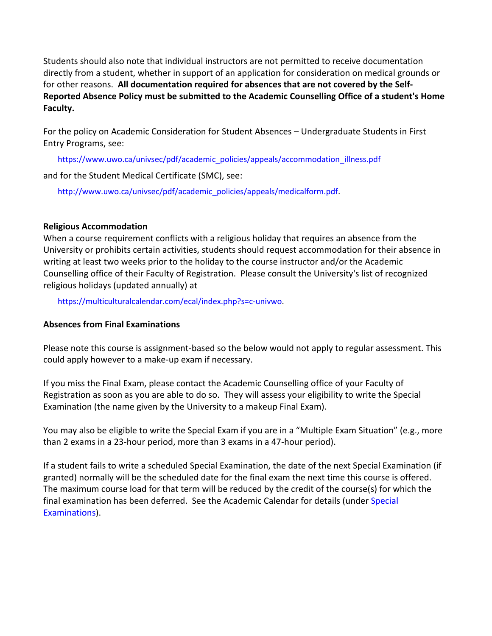Students should also note that individual instructors are not permitted to receive documentation directly from a student, whether in support of an application for consideration on medical grounds or for other reasons. **All documentation required for absences that are not covered by the Self-Reported Absence Policy must be submitted to the Academic Counselling Office of a student's Home Faculty.**

For the policy on Academic Consideration for Student Absences – Undergraduate Students in First Entry Programs, see:

https://www.uwo.ca/univsec/pdf/academic\_policies/appeals/accommodation\_illness.pdf

and for the Student Medical Certificate (SMC), see:

http://www.uwo.ca/univsec/pdf/academic\_policies/appeals/medicalform.pdf.

### **Religious Accommodation**

When a course requirement conflicts with a religious holiday that requires an absence from the University or prohibits certain activities, students should request accommodation for their absence in writing at least two weeks prior to the holiday to the course instructor and/or the Academic Counselling office of their Faculty of Registration. Please consult the University's list of recognized religious holidays (updated annually) at

https://multiculturalcalendar.com/ecal/index.php?s=c-univwo.

### **Absences from Final Examinations**

Please note this course is assignment-based so the below would not apply to regular assessment. This could apply however to a make-up exam if necessary.

If you miss the Final Exam, please contact the Academic Counselling office of your Faculty of Registration as soon as you are able to do so. They will assess your eligibility to write the Special Examination (the name given by the University to a makeup Final Exam).

You may also be eligible to write the Special Exam if you are in a "Multiple Exam Situation" (e.g., more than 2 exams in a 23-hour period, more than 3 exams in a 47-hour period).

If a student fails to write a scheduled Special Examination, the date of the next Special Examination (if granted) normally will be the scheduled date for the final exam the next time this course is offered. The maximum course load for that term will be reduced by the credit of the course(s) for which the final examination has been deferred. See the Academic Calendar for details (under Special Examinations).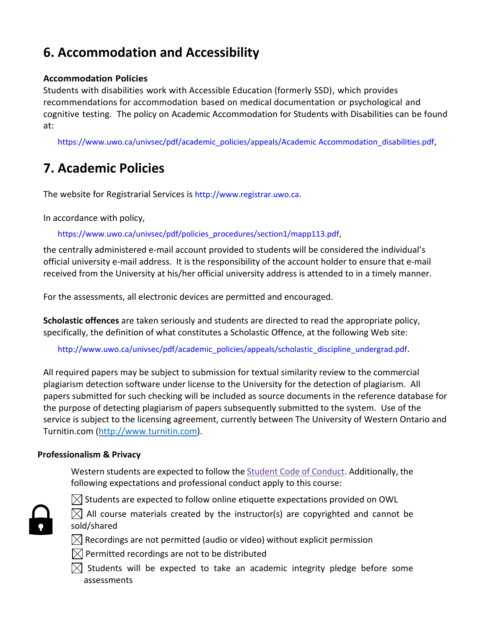# **6. Accommodation and Accessibility**

### **Accommodation Policies**

Students with disabilities work with Accessible Education (formerly SSD), which provides recommendations for accommodation based on medical documentation or psychological and cognitive testing. The policy on Academic Accommodation for Students with Disabilities can be found at:

https://www.uwo.ca/univsec/pdf/academic\_policies/appeals/Academic Accommodation\_disabilities.pdf,

### **7. Academic Policies**

The website for Registrarial Services is http://www.registrar.uwo.ca.

In accordance with policy,

https://www.uwo.ca/univsec/pdf/policies\_procedures/section1/mapp113.pdf,

the centrally administered e-mail account provided to students will be considered the individual's official university e-mail address. It is the responsibility of the account holder to ensure that e-mail received from the University at his/her official university address is attended to in a timely manner.

For the assessments, all electronic devices are permitted and encouraged.

**Scholastic offences** are taken seriously and students are directed to read the appropriate policy, specifically, the definition of what constitutes a Scholastic Offence, at the following Web site:

http://www.uwo.ca/univsec/pdf/academic\_policies/appeals/scholastic\_discipline\_undergrad.pdf.

All required papers may be subject to submission for textual similarity review to the commercial plagiarism detection software under license to the University for the detection of plagiarism. All papers submitted for such checking will be included as source documents in the reference database for the purpose of detecting plagiarism of papers subsequently submitted to the system. Use of the service is subject to the licensing agreement, currently between The University of Western Ontario and Turnitin.com [\(http://www.turnitin.com\)](http://www.turnitin.com/).

#### **Professionalism & Privacy**

Western students are expected to follow the **Student Code of Conduct**. Additionally, the following expectations and professional conduct apply to this course:



 $\boxtimes$  Students are expected to follow online etiquette expectations provided on OWL

 $\boxtimes$  All course materials created by the instructor(s) are copyrighted and cannot be sold/shared

 $\boxtimes$  Recordings are not permitted (audio or video) without explicit permission

- $\boxtimes$  Permitted recordings are not to be distributed
- $\boxtimes$  Students will be expected to take an academic integrity pledge before some assessments